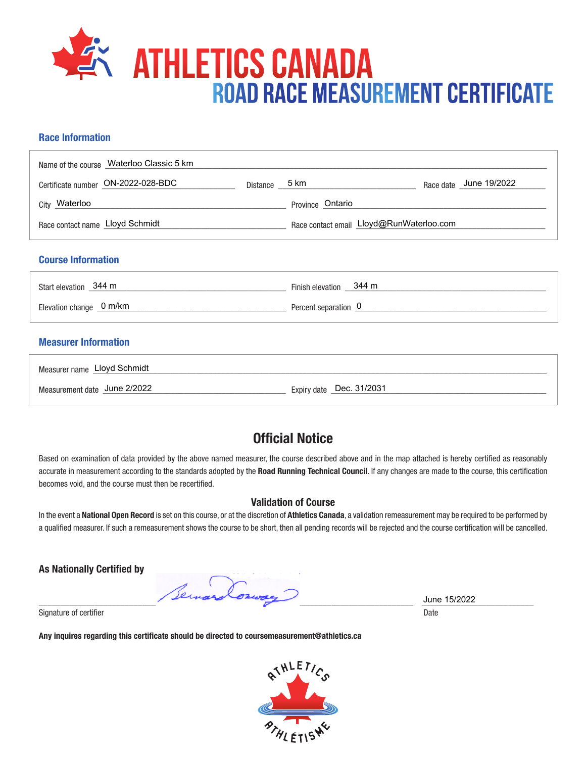

## **Race Information**

| Name of the course Waterloo Classic 5 km |          |                                          |                        |
|------------------------------------------|----------|------------------------------------------|------------------------|
| Certificate number ON-2022-028-BDC       | Distance | 5 km                                     | Race date June 19/2022 |
| City Waterloo                            |          | Province Ontario                         |                        |
| Race contact name Lloyd Schmidt          |          | Race contact email Lloyd@RunWaterloo.com |                        |
|                                          |          |                                          |                        |

### **Course Information**

| Start elevation 344 m     | Finish elevation 344 m |
|---------------------------|------------------------|
| Elevation change _ 0 m/km | Percent separation 0   |
|                           |                        |

# **Measurer Information**

| Measurer name Lloyd Schmidt  |                          |
|------------------------------|--------------------------|
| Measurement date June 2/2022 | Expiry date Dec. 31/2031 |

# **Official Notice**

Based on examination of data provided by the above named measurer, the course described above and in the map attached is hereby certified as reasonably accurate in measurement according to the standards adopted by the **Road Running Technical Council**. If any changes are made to the course, this certification becomes void, and the course must then be recertified.

#### **Validation of Course**

In the event a **National Open Record** is set on this course, or at the discretion of **Athletics Canada**, a validation remeasurement may be required to be performed by a qualified measurer. If such a remeasurement shows the course to be short, then all pending records will be rejected and the course certification will be cancelled.

**As Nationally Certified by**

 $\frac{3 \text{ line } 15/2022}{\text{ line } 15/2022}$ 

Signature of certifier Date Date of Certifier and Contract of Certifier and Date Date of Certifier and Date Date of Certifier and Date of Certifier and Date of Certifier and Date of Certifier and Date of Certifier and Date

**Any inquires regarding this certificate should be directed to coursemeasurement@athletics.ca**



June 15/2022